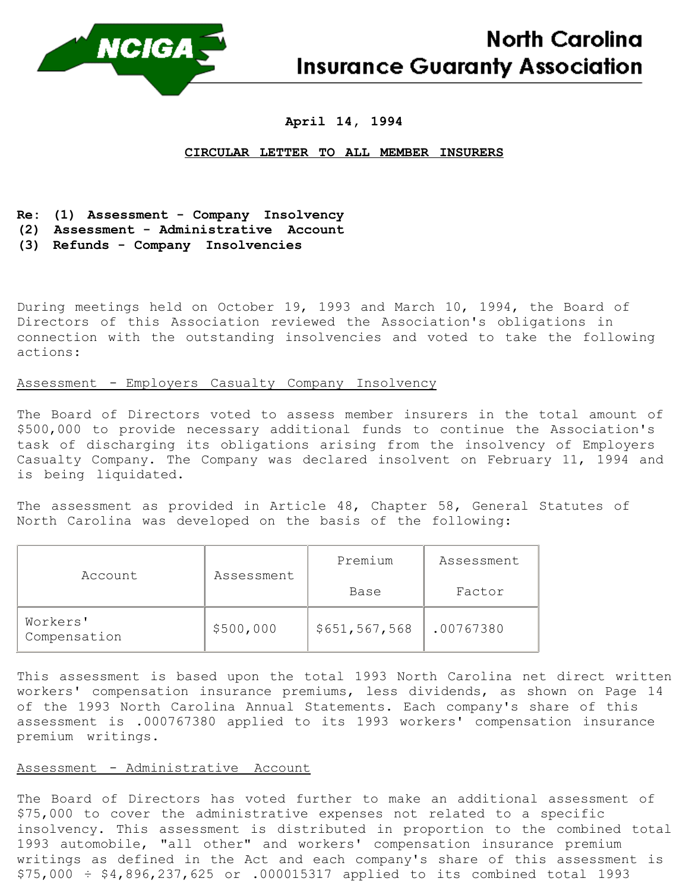

# **April 14, 1994**

### **CIRCULAR LETTER TO ALL MEMBER INSURERS**

- **Re: (1) Assessment - Company Insolvency**
- **(2) Assessment - Administrative Account**
- **(3) Refunds - Company Insolvencies**

During meetings held on October 19, 1993 and March 10, 1994, the Board of Directors of this Association reviewed the Association's obligations in connection with the outstanding insolvencies and voted to take the following actions:

## Assessment - Employers Casualty Company Insolvency

The Board of Directors voted to assess member insurers in the total amount of \$500,000 to provide necessary additional funds to continue the Association's task of discharging its obligations arising from the insolvency of Employers Casualty Company. The Company was declared insolvent on February 11, 1994 and is being liquidated.

The assessment as provided in Article 48, Chapter 58, General Statutes of North Carolina was developed on the basis of the following:

| Account                  | Assessment | Premium       | Assessment |
|--------------------------|------------|---------------|------------|
|                          |            | Base          | Factor     |
| Workers'<br>Compensation | \$500,000  | \$651,567,568 | .00767380  |

This assessment is based upon the total 1993 North Carolina net direct written workers' compensation insurance premiums, less dividends, as shown on Page 14 of the 1993 North Carolina Annual Statements. Each company's share of this assessment is .000767380 applied to its 1993 workers' compensation insurance premium writings.

## Assessment - Administrative Account

The Board of Directors has voted further to make an additional assessment of \$75,000 to cover the administrative expenses not related to a specific insolvency. This assessment is distributed in proportion to the combined total 1993 automobile, "all other" and workers' compensation insurance premium writings as defined in the Act and each company's share of this assessment is \$75,000 ÷ \$4,896,237,625 or .000015317 applied to its combined total 1993